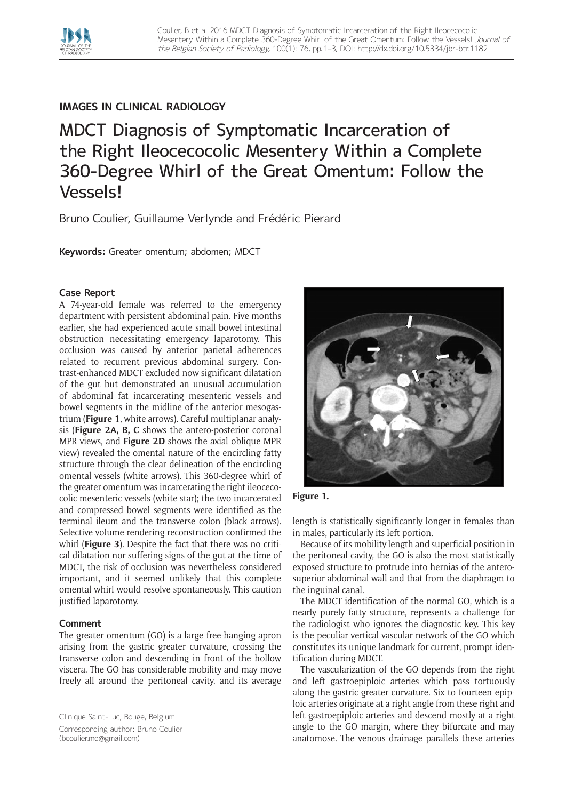

# **IMAGES IN CLINICAL RADIOLOGY**

MDCT Diagnosis of Symptomatic Incarceration of the Right Ileocecocolic Mesentery Within a Complete 360-Degree Whirl of the Great Omentum: Follow the Vessels!

Bruno Coulier, Guillaume Verlynde and Frédéric Pierard

**Keywords:** Greater omentum; abdomen; MDCT

## **Case Report**

A 74-year-old female was referred to the emergency department with persistent abdominal pain. Five months earlier, she had experienced acute small bowel intestinal obstruction necessitating emergency laparotomy. This occlusion was caused by anterior parietal adherences related to recurrent previous abdominal surgery. Contrast-enhanced MDCT excluded now significant dilatation of the gut but demonstrated an unusual accumulation of abdominal fat incarcerating mesenteric vessels and bowel segments in the midline of the anterior mesogastrium (**Figure 1**, white arrows). Careful multiplanar analysis (**Figure 2A, B, C** shows the antero-posterior coronal MPR views, and **Figure 2D** shows the axial oblique MPR view) revealed the omental nature of the encircling fatty structure through the clear delineation of the encircling omental vessels (white arrows). This 360-degree whirl of the greater omentum was incarcerating the right ileocecocolic mesenteric vessels (white star); the two incarcerated and compressed bowel segments were identified as the terminal ileum and the transverse colon (black arrows). Selective volume-rendering reconstruction confirmed the whirl (**Figure 3**). Despite the fact that there was no critical dilatation nor suffering signs of the gut at the time of MDCT, the risk of occlusion was nevertheless considered important, and it seemed unlikely that this complete omental whirl would resolve spontaneously. This caution justified laparotomy.

## **Comment**

The greater omentum (GO) is a large free-hanging apron arising from the gastric greater curvature, crossing the transverse colon and descending in front of the hollow viscera. The GO has considerable mobility and may move freely all around the peritoneal cavity, and its average



## **Figure 1.**

length is statistically significantly longer in females than in males, particularly its left portion.

Because of its mobility length and superficial position in the peritoneal cavity, the GO is also the most statistically exposed structure to protrude into hernias of the anterosuperior abdominal wall and that from the diaphragm to the inguinal canal.

The MDCT identification of the normal GO, which is a nearly purely fatty structure, represents a challenge for the radiologist who ignores the diagnostic key. This key is the peculiar vertical vascular network of the GO which constitutes its unique landmark for current, prompt identification during MDCT.

The vascularization of the GO depends from the right and left gastroepiploic arteries which pass tortuously along the gastric greater curvature. Six to fourteen epiploic arteries originate at a right angle from these right and left gastroepiploic arteries and descend mostly at a right angle to the GO margin, where they bifurcate and may anatomose. The venous drainage parallels these arteries

Clinique Saint-Luc, Bouge, Belgium Corresponding author: Bruno Coulier [\(bcoulier.md@gmail.com](mailto:bcoulier.md@gmail.com))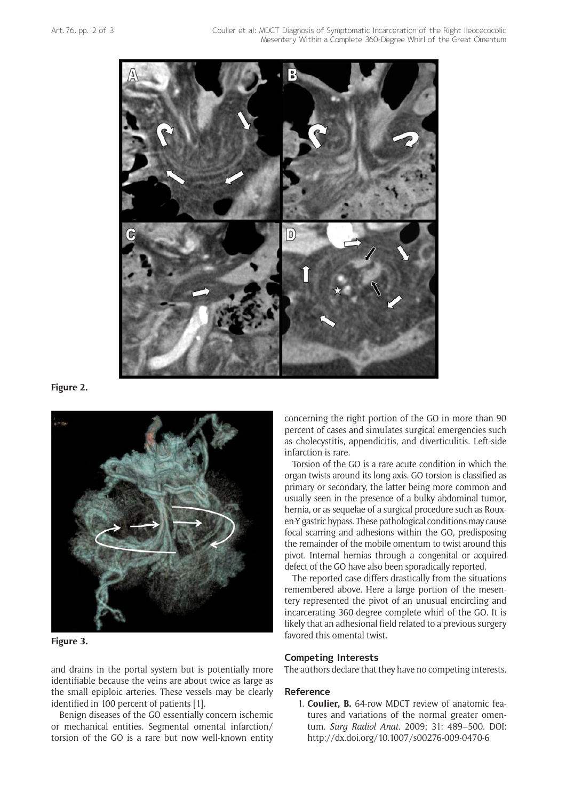

#### **Figure 2.**



### **Figure 3.**

and drains in the portal system but is potentially more identifiable because the veins are about twice as large as the small epiploic arteries. These vessels may be clearly identified in 100 percent of patients [1].

Benign diseases of the GO essentially concern ischemic or mechanical entities. Segmental omental infarction/ torsion of the GO is a rare but now well-known entity concerning the right portion of the GO in more than 90 percent of cases and simulates surgical emergencies such as cholecystitis, appendicitis, and diverticulitis. Left-side infarction is rare.

Torsion of the GO is a rare acute condition in which the organ twists around its long axis. GO torsion is classified as primary or secondary, the latter being more common and usually seen in the presence of a bulky abdominal tumor, hernia, or as sequelae of a surgical procedure such as Rouxen-Y gastric bypass. These pathological conditions may cause focal scarring and adhesions within the GO, predisposing the remainder of the mobile omentum to twist around this pivot. Internal hernias through a congenital or acquired defect of the GO have also been sporadically reported.

The reported case differs drastically from the situations remembered above. Here a large portion of the mesentery represented the pivot of an unusual encircling and incarcerating 360-degree complete whirl of the GO. It is likely that an adhesional field related to a previous surgery favored this omental twist.

#### **Competing Interests**

The authors declare that they have no competing interests.

#### **Reference**

1. **Coulier, B.** 64-row MDCT review of anatomic features and variations of the normal greater omentum. *[Surg Radiol Anat](http://www.ncbi.nlm.nih.gov/pubmed/19214367)*. 2009; 31: 489–500. DOI: <http://dx.doi.org/10.1007/s00276-009-0470-6>